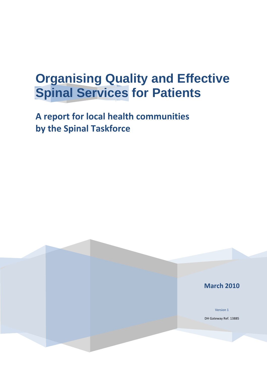# **Organising Quality and Effective Spinal Services for Patients**

**A report for local health communities by the Spinal Taskforce**

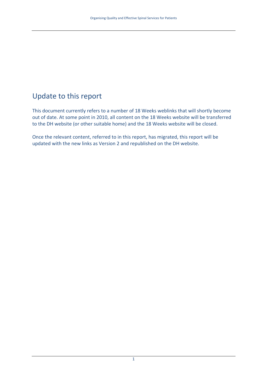## Update to this report

This document currently refers to a number of 18 Weeks weblinks that will shortly become out of date. At some point in 2010, all content on the 18 Weeks website will be transferred to the DH website (or other suitable home) and the 18 Weeks website will be closed.

Once the relevant content, referred to in this report, has migrated, this report will be updated with the new links as Version 2 and republished on the DH website.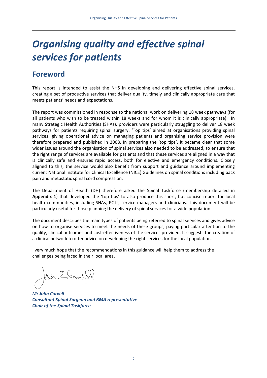## *Organising quality and effective spinal services for patients*

## **Foreword**

This report is intended to assist the NHS in developing and delivering effective spinal services, creating a set of productive services that deliver quality, timely and clinically appropriate care that meets patients' needs and expectations.

The report was commissioned in response to the national work on delivering 18 week pathways (for all patients who wish to be treated within 18 weeks and for whom it is clinically appropriate). In many Strategic Health Authorities (SHAs), providers were particularly struggling to deliver 18 week pathways for patients requiring spinal surgery. 'Top tips' aimed at organisations providing spinal services, giving operational advice on managing patients and organising service provision were therefore prepared and published in 2008. In preparing the 'top tips', it became clear that some wider issues around the organisation of spinal services also needed to be addressed, to ensure that the right range of services are available for patients and that these services are aligned in a way that is clinically safe and ensures rapid access, both for elective and emergency conditions. Closely aligned to this, the service would also benefit from support and guidance around implementing current National Institute for Clinical Excellence (NICE) Guidelines on spinal conditions including back pain and metastatic spinal cord compression.

The Department of Health (DH) therefore asked the Spinal Taskforce (membership detailed in **Appendix 1**) that developed the 'top tips' to also produce this short, but concise report for local health communities, including SHAs, PCTs, service managers and clinicians. This document will be particularly useful for those planning the delivery of spinal services for a wide population.

The document describes the main types of patients being referred to spinal services and gives advice on how to organise services to meet the needs of these groups, paying particular attention to the quality, clinical outcomes and cost‐effectiveness of the services provided. It suggests the creation of a clinical network to offer advice on developing the right services for the local population.

I very much hope that the recommendations in this guidance will help them to address the challenges being faced in their local area.

In E. Gave

*Mr John Carvell Consultant Spinal Surgeon and BMA representative Chair of the Spinal Taskforce*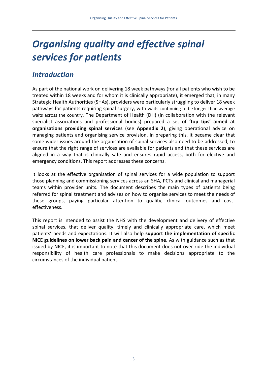## *Organising quality and effective spinal services for patients*

## *Introduction*

As part of the national work on delivering 18 week pathways (for all patients who wish to be treated within 18 weeks and for whom it is clinically appropriate), it emerged that, in many Strategic Health Authorities (SHAs), providers were particularly struggling to deliver 18 week pathways for patients requiring spinal surgery, with waits continuing to be longer than average waits across the country. The Department of Health (DH) (in collaboration with the relevant specialist associations and professional bodies) prepared a set of **'top tips' aimed at organisations providing spinal services** (see **Appendix 2**), giving operational advice on managing patients and organising service provision. In preparing this, it became clear that some wider issues around the organisation of spinal services also need to be addressed, to ensure that the right range of services are available for patients and that these services are aligned in a way that is clinically safe and ensures rapid access, both for elective and emergency conditions. This report addresses these concerns.

It looks at the effective organisation of spinal services for a wide population to support those planning and commissioning services across an SHA, PCTs and clinical and managerial teams within provider units. The document describes the main types of patients being referred for spinal treatment and advises on how to organise services to meet the needs of these groups, paying particular attention to quality, clinical outcomes and cost‐ effectiveness.

This report is intended to assist the NHS with the development and delivery of effective spinal services, that deliver quality, timely and clinically appropriate care, which meet patients' needs and expectations. It will also help **support the implementation of specific NICE guidelines on lower back pain and cancer of the spine.** As with guidance such as that issued by NICE, it is important to note that this document does not over‐ride the individual responsibility of health care professionals to make decisions appropriate to the circumstances of the individual patient.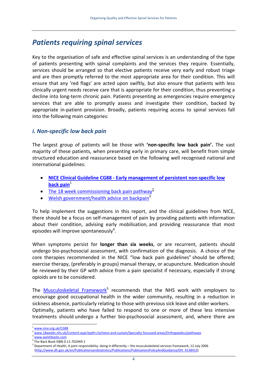### *Patients requiring spinal services*

Key to the organisation of safe and effective spinal services is an understanding of the type of patients presenting with spinal complaints and the services they require. Essentially, services should be arranged so that elective patients receive very early and robust triage and are then promptly referred to the most appropriate area for their condition. This will ensure that any 'red flags' are acted upon swiftly, but also ensure that patients with less clinically urgent needs receive care that is appropriate for their condition, thus preventing a decline into long‐term chronic pain. Patients presenting as emergencies require emergency services that are able to promptly assess and investigate their condition, backed by appropriate in‐patient provision. Broadly, patients requiring access to spinal services fall into the following main categories:

#### *i. Non‐specific low back pain*

The largest group of patients will be those with **'non‐specific low back pain'.** The vast majority of these patients, when presenting early in primary care, will benefit from simple structured education and reassurance based on the following well recognised national and international guidelines:

- **NICE Clinical Guideline CG88 ‐ Early [management](http://www.nice.org.uk/CG88) of persistent non‐specific low [back](http://www.nice.org.uk/CG88)** pain<sup>1</sup>
- The 18 week [commissioning](http://www.18weeks.nhs.uk/Content.aspx?path=/achieve-and-sustain/Specialty-focussed-areas/Orthopaedics/pathways) back pain pathway<sup>2</sup>
- Welsh [government/health](http://www.18weeks.nhs.uk/Content.aspx?path=/achieve-and-sustain/Specialty-focussed-areas/Orthopaedics/pathways) advice on backpain<sup>3</sup>

To help implement the suggestions in this report, and the clinical guidelines from NICE, there should be a focus on self‐management of pain by providing patients with information about their condition, advising early mobilisation, and providing reassurance that most episodes will improve spontaneously<sup>[4](#page-4-3)</sup>.

When symptoms persist for **longer than six weeks**, or are recurrent, patients should undergo bio‐psychosocial assessment, with confirmation of the diagnosis. A choice of the core therapies recommended in the NICE "low back pain guidelines" should be offered; exercise therapy, (preferably in groups) manual therapy, or acupuncture. Medication should be reviewed by their GP with advice from a pain specialist if necessary, especially if strong opioids are to be considered.

The [Musculoskeletal](http://www.dh.gov.uk/en/Publicationsandstatistics/Publications/PublicationsPolicyAndGuidance/DH_4138413) Framework<sup>[5](#page-4-4)</sup> recommends that the NHS work with employers to encourage good occupational health in the wider community, resulting in a reduction in sickness absence, particularly relating to those with previous sick leave and older workers.

Optimally, patients who have failed to respond to one or more of these less intensive treatments should undergo a further bio‐psychosocial assessment, and, where there are

 $\overline{a}$ 

<span id="page-4-0"></span>[www.nice.org.uk/CG88](http://www.nice.org.uk/CG88)

<span id="page-4-1"></span>[www.18weeks.nhs.uk/Content.aspx?path=/achieve](http://www.18weeks.nhs.uk/Content.aspx?path=/achieve-and-sustain/Specialty-focussed-areas/Orthopaedics/pathways)-and-sustain/Specialty-focussed-areas/Orthopaedics/pathways

<span id="page-4-2"></span>

<span id="page-4-3"></span> $\frac{3}{4}$  [www.welshbacks.com](http://www.welshbacks.com/)<br> $\frac{4}{4}$ The Back Book ISBN 0-11-702949-1

<span id="page-4-4"></span> $<sup>5</sup>$  Department of Health, A joint responsibility: doing it differently – the musculoskeletal services framework, 12 July 2006</sup> [\(http://www.dh.gov.uk/en/Publicationsandstatistics/Publications/PublicationsPolicyAndGuidance/DH\\_4138413](http://www.dh.gov.uk/en/Publicationsandstatistics/Publications/PublicationsPolicyAndGuidance/DH_4138413))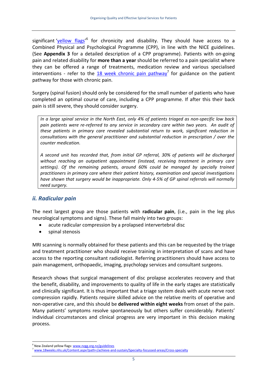significant '<u>yellow flags'</u><sup>[6](#page-5-0)</sup> for chronicity and disability. They should have access to a Combined Physical and Psychological Programme (CPP), in line with the NICE guidelines. (See **Appendix 3** for a detailed description of a CPP programme). Patients with on‐going pain and related disability for **more than a year** should be referred to a pain specialist where they can be offered a range of treatments, medication review and various specialised interventions - refer to the 18 week chronic pain [pathway](http://www.18weeks.nhs.uk/Content.aspx?path=/achieve-and-sustain/Specialty-focussed-areas/Cross-specialty)<sup>[7](#page-5-1)</sup> for guidance on the patient pathway for those with chronic pain.

Surgery (spinal fusion) should only be considered for the small number of patients who have completed an optimal course of care, including a CPP programme. If after this their back pain is still severe, they should consider surgery.

In a large spinal service in the North East, only 4% of patients triaged as non-specific low back pain patients were re-referred to any service in secondary care within two years. An audit of *these patients in primary care revealed substantial return to work, significant reduction in consultations with the general practitioner and substantial reduction in prescription / over the counter medication.* 

*A second unit has recorded that, from initial GP referral, 30% of patients will be discharged without reaching an outpatient appointment (instead, receiving treatment in primary care settings). Of the remaining patients, around 60% could be managed by specially trained practitioners in primary care where their patient history, examination and special investigations have shown that surgery would be inappropriate. Only 4‐5% of GP spinal referrals will normally need surgery.*

#### *ii. Radicular pain*

The next largest group are those patients with **radicular pain**, (i.e., pain in the leg plus neurological symptoms and signs). These fall mainly into two groups:

- acute radicular compression by a prolapsed intervertebral disc
- spinal stenosis

MRI scanning is normally obtained for these patients and this can be requested by the triage and treatment practitioner who should receive training in interpretation of scans and have access to the reporting consultant radiologist. Referring practitioners should have access to pain management, orthopaedic, imaging, psychology services and consultant surgeons.

Research shows that surgical management of disc prolapse accelerates recovery and that the benefit, disability, and improvements to quality of life in the early stages are statistically and clinically significant. It is thus important that a triage system deals with acute nerve root compression rapidly. Patients require skilled advice on the relative merits of operative and non‐operative care, and this should be **delivered within eight weeks** from onset of the pain. Many patients' symptoms resolve spontaneously but others suffer considerably. Patients' individual circumstances and clinical progress are very important in this decision making process.

 $\overline{a}$ 

<span id="page-5-0"></span><sup>&</sup>lt;sup>6</sup> New Zealand yellow flags: [www.nzgg.org.nz/guidelines](http://www.nzgg.org.nz/guidelines/dsp_guideline_popup.cfm?guidelineID=72)

<span id="page-5-1"></span><sup>7</sup> [www.18weeks.nhs.uk/Content.aspx?path=/achieve](http://www.18weeks.nhs.uk/Content.aspx?path=/achieve-and-sustain/Specialty-focussed-areas/Cross-specialty)‐and‐sustain/Specialty‐focussed‐areas/Cross‐specialty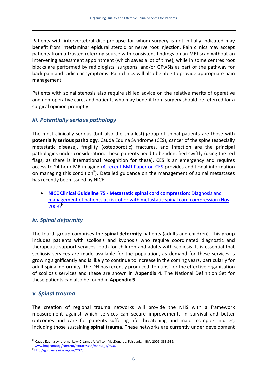Patients with intervertebral disc prolapse for whom surgery is not initially indicated may benefit from interlaminar epidural steroid or nerve root injection. Pain clinics may accept patients from a trusted referring source with consistent findings on an MRI scan without an intervening assessment appointment (which saves a lot of time), while in some centres root blocks are performed by radiologists, surgeons, and/or GPwSIs as part of the pathway for back pain and radicular symptoms. Pain clinics will also be able to provide appropriate pain management.

Patients with spinal stenosis also require skilled advice on the relative merits of operative and non-operative care, and patients who may benefit from surgery should be referred for a surgical opinion promptly.

#### *iii. Potentially serious pathology*

The most clinically serious (but also the smallest) group of spinal patients are those with **potentially serious pathology**. Cauda Equina Syndrome (CES), cancer of the spine (especially metastatic disease), fragility (osteoporotic) fractures, and infection are the principal pathologies under consideration. These patients need to be identified swiftly (using the red flags, as there is international recognition for these). CES is an emergency and requires access to 24 hour MR imaging (A [recent](http://www.bmj.com/cgi/content/extract/338/mar31_1/b936) BMJ Paper on CES provides additional information on managing this condition<sup>[8](#page-6-0)</sup>). Detailed guidance on the management of spinal metastases has recently been issued by NICE:

• **NICE Clinical Guideline 75 ‐ Metastatic spinal cord [compression:](http://guidance.nice.org.uk/CG75)** Diagnosis and [management](http://guidance.nice.org.uk/CG75) of patients at risk of or with metastatic spinal cord compression (Nov [2008\)](http://guidance.nice.org.uk/CG75)**[9](#page-6-1)**

#### *iv. Spinal deformity*

The fourth group comprises the **spinal deformity** patients (adults and children). This group includes patients with scoliosis and kyphosis who require coordinated diagnostic and therapeutic support services, both for children and adults with scoliosis. It is essential that scoliosis services are made available for the population, as demand for these services is growing significantly and is likely to continue to increase in the coming years, particularly for adult spinal deformity. The DH has recently produced 'top tips' for the effective organisation of scoliosis services and these are shown in **Appendix 4**. The National Definition Set for these patients can also be found in **Appendix 5**.

#### *v. Spinal trauma*

The creation of regional trauma networks will provide the NHS with a framework measurement against which services can secure improvements in survival and better outcomes and care for patients suffering life threatening and major complex injuries, including those sustaining **spinal trauma**. These networks are currently under development

<span id="page-6-0"></span> $\overline{a}$ <sup>8</sup> 'Cauda Equina syndrome' Lavy C, James A, Wilson‐MacDonald J, Fairbank J.. BMJ 2009; 338:936:

[www.bmj.com/cgi/content/extract/338/mar31\\_1/b936](http://www.bmj.com/cgi/content/extract/338/mar31_1/b936)

<span id="page-6-1"></span><sup>9</sup> <http://guidance.nice.org.uk/CG75>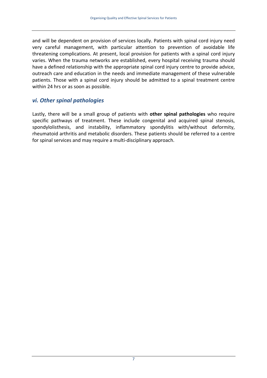and will be dependent on provision of services locally. Patients with spinal cord injury need very careful management, with particular attention to prevention of avoidable life threatening complications. At present, local provision for patients with a spinal cord injury varies. When the trauma networks are established, every hospital receiving trauma should have a defined relationship with the appropriate spinal cord injury centre to provide advice, outreach care and education in the needs and immediate management of these vulnerable patients. Those with a spinal cord injury should be admitted to a spinal treatment centre within 24 hrs or as soon as possible.

#### *vi. Other spinal pathologies*

Lastly, there will be a small group of patients with **other spinal pathologies** who require specific pathways of treatment. These include congenital and acquired spinal stenosis, spondylolisthesis, and instability, inflammatory spondylitis with/without deformity, rheumatoid arthritis and metabolic disorders. These patients should be referred to a centre for spinal services and may require a multi‐disciplinary approach.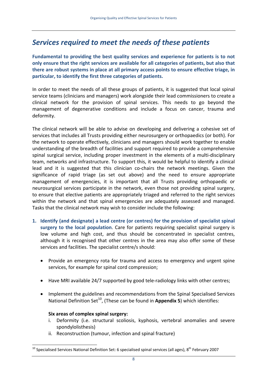## *Services required to meet the needs of these patients*

**Fundamental to providing the best quality services and experience for patients is to not only ensure that the right services are available for all categories of patients, but also that there are robust systems in place at all primary access points to ensure effective triage, in particular, to identify the first three categories of patients.** 

In order to meet the needs of all these groups of patients, it is suggested that local spinal service teams (clinicians and managers) work alongside their lead commissioners to create a clinical network for the provision of spinal services. This needs to go beyond the management of degenerative conditions and include a focus on cancer, trauma and deformity.

The clinical network will be able to advise on developing and delivering a cohesive set of services that includes all Trusts providing either neurosurgery or orthopaedics (or both). For the network to operate effectively, clinicians and managers should work together to enable understanding of the breadth of facilities and support required to provide a comprehensive spinal surgical service, including proper investment in the elements of a multi-disciplinary team, networks and infrastructure. To support this, it would be helpful to identify a clinical lead and it is suggested that this clinician co-chairs the network meetings. Given the significance of rapid triage (as set out above) and the need to ensure appropriate management of emergencies, it is important that all Trusts providing orthopaedic or neurosurgical services participate in the network, even those not providing spinal surgery, to ensure that elective patients are appropriately triaged and referred to the right services within the network and that spinal emergencies are adequately assessed and managed. Tasks that the clinical network may wish to consider include the following:

- **1. Identify (and designate) a lead centre (or centres) for the provision of specialist spinal surgery to the local population**. Care for patients requiring specialist spinal surgery is low volume and high cost, and thus should be concentrated in specialist centres, although it is recognised that other centres in the area may also offer some of these services and facilities. The specialist centre/s should:
	- Provide an emergency rota for trauma and access to emergency and urgent spine services, for example for spinal cord compression;
	- Have MRI available 24/7 supported by good tele‐radiology links with other centres;
	- Implement the guidelines and recommendations from the Spinal Specialised Services National Definition Set<sup>10</sup>, (These can be found in **Appendix 5**) which identifies:

#### **Six areas of complex spinal surgery:**

- i. Deformity (i.e. structural scoliosis, kyphosis, vertebral anomalies and severe spondylolisthesis)
- ii. Reconstruction (tumour, infection and spinal fracture)

<span id="page-8-0"></span> $10$  Specialised Services National Definition Set: 6 specialised spinal services (all ages), 8<sup>th</sup> February 2007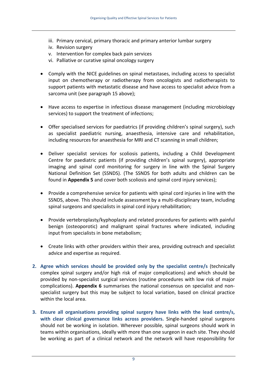- iii. Primary cervical, primary thoracic and primary anterior lumbar surgery
- iv. Revision surgery
- v. Intervention for complex back pain services
- vi. Palliative or curative spinal oncology surgery
- Comply with the NICE guidelines on spinal metastases, including access to specialist input on chemotherapy or radiotherapy from oncologists and radiotherapists to support patients with metastatic disease and have access to specialist advice from a sarcoma unit (see paragraph 15 above);
- Have access to expertise in infectious disease management (including microbiology services) to support the treatment of infections;
- Offer specialised services for paediatrics (if providing children's spinal surgery), such as specialist paediatric nursing, anaesthesia, intensive care and rehabilitation, including resources for anaesthesia for MRI and CT scanning in small children;
- Deliver specialist services for scoliosis patients, including a Child Development Centre for paediatric patients (if providing children's spinal surgery), appropriate imaging and spinal cord monitoring for surgery in line with the Spinal Surgery National Definition Set (SSNDS). (The SSNDS for both adults and children can be found in **Appendix 5** and cover both scoliosis and spinal cord injury services);
- Provide a comprehensive service for patients with spinal cord injuries in line with the SSNDS, above. This should include assessment by a multi‐disciplinary team, including spinal surgeons and specialists in spinal cord injury rehabilitation;
- Provide vertebroplasty/kyphoplasty and related procedures for patients with painful benign (osteoporotic) and malignant spinal fractures where indicated, including input from specialists in bone metabolism;
- Create links with other providers within their area, providing outreach and specialist advice and expertise as required.
- **2. Agree which services should be provided only by the specialist centre/s** (technically complex spinal surgery and/or high risk of major complications) and which should be provided by non‐specialist surgical services (routine procedures with low risk of major complications). **Appendix 6** summarises the national consensus on specialist and non‐ specialist surgery but this may be subject to local variation, based on clinical practice within the local area.
- **3. Ensure all organisations providing spinal surgery have links with the lead centre/s, with clear clinical governance links across providers.** Single‐handed spinal surgeons should not be working in isolation. Wherever possible, spinal surgeons should work in teams within organisations, ideally with more than one surgeon in each site. They should be working as part of a clinical network and the network will have responsibility for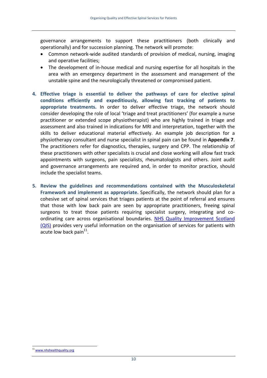governance arrangements to support these practitioners (both clinically and operationally) and for succession planning. The network will promote:

- Common network‐wide audited standards of provision of medical, nursing, imaging and operative facilities;
- The development of in-house medical and nursing expertise for all hospitals in the area with an emergency department in the assessment and management of the unstable spine and the neurologically threatened or compromised patient.
- **4. Effective triage is essential to deliver the pathways of care for elective spinal conditions efficiently and expeditiously, allowing fast tracking of patients to appropriate treatments.** In order to deliver effective triage, the network should consider developing the role of local 'triage and treat practitioners' (for example a nurse practitioner or extended scope physiotherapist) who are highly trained in triage and assessment and also trained in indications for MRI and interpretation, together with the skills to deliver educational material effectively. An example job description for a physiotherapy consultant and nurse specialist in spinal pain can be found in **Appendix 7**. The practitioners refer for diagnostics, therapies, surgery and CPP. The relationship of these practitioners with other specialists is crucial and close working will allow fast track appointments with surgeons, pain specialists, rheumatologists and others. Joint audit and governance arrangements are required and, in order to monitor practice, should include the specialist teams.
- **5. Review the guidelines and recommendations contained with the Musculoskeletal Framework and implement as appropriate.** Specifically, the network should plan for a cohesive set of spinal services that triages patients at the point of referral and ensures that those with low back pain are seen by appropriate practitioners, freeing spinal surgeons to treat those patients requiring specialist surgery, integrating and coordinating care across organisational boundaries. NHS Quality [Improvement](http://www.nhshealthquality.org/) Scotland [\(QIS\)](http://www.nhshealthquality.org/) provides very useful information on the organisation of services for patients with acute low back pain $^{11}$ .

 $\overline{a}$ 

<span id="page-10-0"></span><sup>11</sup> [www.nhshealthquality.org](http://www.nhshealthquality.org/)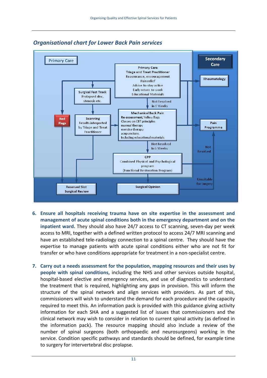

#### *Organisational chart for Lower Back Pain services*

- **6. Ensure all hospitals receiving trauma have on site expertise in the assessment and management of acute spinal conditions both in the emergency department and on the inpatient ward.** They should also have 24/7 access to CT scanning, seven‐day per week access to MRI, together with a defined written protocol to access 24/7 MRI scanning and have an established tele‐radiology connection to a spinal centre. They should have the expertise to manage patients with acute spinal conditions either who are not fit for transfer or who have conditions appropriate for treatment in a non‐specialist centre.
- **7. Carry out a needs assessment for the population, mapping resources and their uses by people with spinal conditions,** including the NHS and other services outside hospital, hospital-based elective and emergency services, and use of diagnostics to understand the treatment that is required, highlighting any gaps in provision. This will inform the structure of the spinal network and align services with providers. As part of this, commissioners will wish to understand the demand for each procedure and the capacity required to meet this. An information pack is provided with this guidance giving activity information for each SHA and a suggested list of issues that commissioners and the clinical network may wish to consider in relation to current spinal activity (as defined in the information pack). The resource mapping should also include a review of the number of spinal surgeons (both orthopaedic and neurosurgeons) working in the service. Condition specific pathways and standards should be defined, for example time to surgery for intervertebral disc prolapse.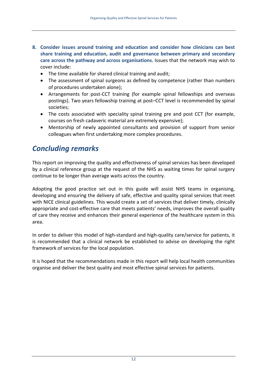- **8. Consider issues around training and education and consider how clinicians can best share training and education, audit and governance between primary and secondary care across the pathway and across organisations.** Issues that the network may wish to cover include:
	- The time available for shared clinical training and audit;
	- The assessment of spinal surgeons as defined by competence (rather than numbers of procedures undertaken alone);
	- Arrangements for post-CCT training (for example spinal fellowships and overseas postings). Two years fellowship training at post–CCT level is recommended by spinal societies;
	- The costs associated with speciality spinal training pre and post CCT (for example, courses on fresh cadaveric material are extremely expensive);
	- Mentorship of newly appointed consultants and provision of support from senior colleagues when first undertaking more complex procedures.

## *Concluding remarks*

This report on improving the quality and effectiveness of spinal services has been developed by a clinical reference group at the request of the NHS as waiting times for spinal surgery continue to be longer than average waits across the country.

Adopting the good practice set out in this guide will assist NHS teams in organising, developing and ensuring the delivery of safe, effective and quality spinal services that meet with NICE clinical guidelines. This would create a set of services that deliver timely, clinically appropriate and cost-effective care that meets patients' needs, improves the overall quality of care they receive and enhances their general experience of the healthcare system in this area.

In order to deliver this model of high‐standard and high‐quality care/service for patients, it is recommended that a clinical network be established to advise on developing the right framework of services for the local population.

It is hoped that the recommendations made in this report will help local health communities organise and deliver the best quality and most effective spinal services for patients.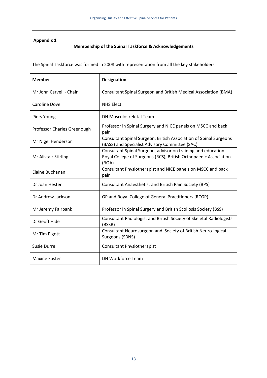#### **Appendix 1**

#### **Membership of the Spinal Taskforce & Acknowledgements**

The Spinal Taskforce was formed in 2008 with representation from all the key stakeholders

| <b>Member</b>               | <b>Designation</b>                                                                                                                          |
|-----------------------------|---------------------------------------------------------------------------------------------------------------------------------------------|
| Mr John Carvell - Chair     | Consultant Spinal Surgeon and British Medical Association (BMA)                                                                             |
| Caroline Dove               | <b>NHS Elect</b>                                                                                                                            |
| Piers Young                 | DH Musculoskeletal Team                                                                                                                     |
| Professor Charles Greenough | Professor in Spinal Surgery and NICE panels on MSCC and back<br>pain                                                                        |
| Mr Nigel Henderson          | Consultant Spinal Surgeon, British Association of Spinal Surgeons<br>(BASS) and Specialist Advisory Committee (SAC)                         |
| Mr Alistair Stirling        | Consultant Spinal Surgeon, advisor on training and education -<br>Royal College of Surgeons (RCS), British Orthopaedic Association<br>(BOA) |
| Elaine Buchanan             | Consultant Physiotherapist and NICE panels on MSCC and back<br>pain                                                                         |
| Dr Joan Hester              | Consultant Anaesthetist and British Pain Society (BPS)                                                                                      |
| Dr Andrew Jackson           | GP and Royal College of General Practitioners (RCGP)                                                                                        |
| Mr Jeremy Fairbank          | Professor in Spinal Surgery and British Scoliosis Society (BSS)                                                                             |
| Dr Geoff Hide               | Consultant Radiologist and British Society of Skeletal Radiologists<br>(BSSR)                                                               |
| Mr Tim Pigott               | Consultant Neurosurgeon and Society of British Neuro-logical<br>Surgeons (SBNS)                                                             |
| Susie Durrell               | <b>Consultant Physiotherapist</b>                                                                                                           |
| <b>Maxine Foster</b>        | DH Workforce Team                                                                                                                           |